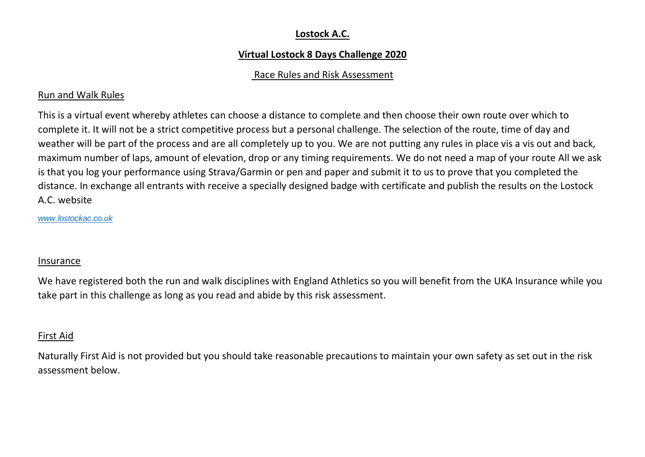# **Lostock A.C.**

# **Virtual Lostock 8 Days Challenge 2020**

# Race Rules and Risk Assessment

# Run and Walk Rules

This is a virtual event whereby athletes can choose a distance to complete and then choose their own route over which to complete it. It will not be a strict competitive process but a personal challenge. The selection of the route, time of day and weather will be part of the process and are all completely up to you. We are not putting any rules in place vis a vis out and back, maximum number of laps, amount of elevation, drop or any timing requirements. We do not need a map of your route All we ask is that you log your performance using Strava/Garmin or pen and paper and submit it to us to prove that you completed the distance. In exchange all entrants with receive a specially designed badge with certificate and publish the results on the Lostock A.C. website

*www.lostockac.co.uk*

#### Insurance

We have registered both the run and walk disciplines with England Athletics so you will benefit from the UKA Insurance while you take part in this challenge as long as you read and abide by this risk assessment.

# First Aid

Naturally First Aid is not provided but you should take reasonable precautions to maintain your own safety as set out in the risk assessment below.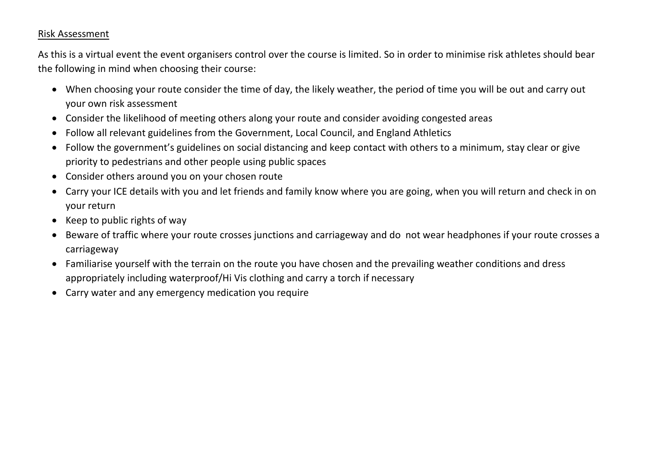# Risk Assessment

As this is a virtual event the event organisers control over the course is limited. So in order to minimise risk athletes should bear the following in mind when choosing their course:

- When choosing your route consider the time of day, the likely weather, the period of time you will be out and carry out your own risk assessment
- Consider the likelihood of meeting others along your route and consider avoiding congested areas
- Follow all relevant guidelines from the Government, Local Council, and England Athletics
- Follow the government's guidelines on social distancing and keep contact with others to a minimum, stay clear or give priority to pedestrians and other people using public spaces
- Consider others around you on your chosen route
- Carry your ICE details with you and let friends and family know where you are going, when you will return and check in on your return
- Keep to public rights of way
- Beware of traffic where your route crosses junctions and carriageway and do not wear headphones if your route crosses a carriageway
- Familiarise yourself with the terrain on the route you have chosen and the prevailing weather conditions and dress appropriately including waterproof/Hi Vis clothing and carry a torch if necessary
- Carry water and any emergency medication you require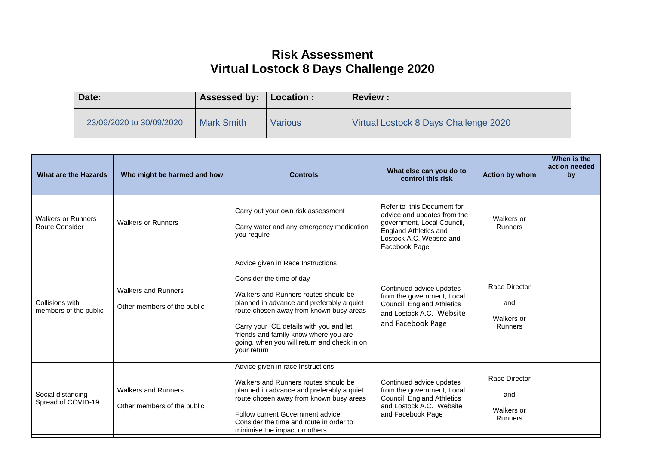# **Risk Assessment Virtual Lostock 8 Days Challenge 2020**

| Date:                    | Assessed by:      | Location :     | <b>Review:</b>                        |
|--------------------------|-------------------|----------------|---------------------------------------|
| 23/09/2020 to 30/09/2020 | <b>Mark Smith</b> | <b>Various</b> | Virtual Lostock 8 Days Challenge 2020 |

| <b>What are the Hazards</b>                 | Who might be harmed and how                               | <b>Controls</b>                                                                                                                                                                                                                                                                                                                                 | What else can you do to<br>control this risk                                                                                                                         | <b>Action by whom</b>                         | When is the<br>action needed<br>by |
|---------------------------------------------|-----------------------------------------------------------|-------------------------------------------------------------------------------------------------------------------------------------------------------------------------------------------------------------------------------------------------------------------------------------------------------------------------------------------------|----------------------------------------------------------------------------------------------------------------------------------------------------------------------|-----------------------------------------------|------------------------------------|
| <b>Walkers or Runners</b><br>Route Consider | <b>Walkers or Runners</b>                                 | Carry out your own risk assessment<br>Carry water and any emergency medication<br>you require                                                                                                                                                                                                                                                   | Refer to this Document for<br>advice and updates from the<br>government, Local Council,<br><b>England Athletics and</b><br>Lostock A.C. Website and<br>Facebook Page | Walkers or<br>Runners                         |                                    |
| Collisions with<br>members of the public    | <b>Walkers and Runners</b><br>Other members of the public | Advice given in Race Instructions<br>Consider the time of day<br>Walkers and Runners routes should be<br>planned in advance and preferably a quiet<br>route chosen away from known busy areas<br>Carry your ICE details with you and let<br>friends and family know where you are<br>going, when you will return and check in on<br>your return | Continued advice updates<br>from the government, Local<br>Council, England Athletics<br>and Lostock A.C. Website<br>and Facebook Page                                | Race Director<br>and<br>Walkers or<br>Runners |                                    |
| Social distancing<br>Spread of COVID-19     | <b>Walkers and Runners</b><br>Other members of the public | Advice given in race Instructions<br>Walkers and Runners routes should be<br>planned in advance and preferably a quiet<br>route chosen away from known busy areas<br>Follow current Government advice.<br>Consider the time and route in order to<br>minimise the impact on others.                                                             | Continued advice updates<br>from the government, Local<br>Council, England Athletics<br>and Lostock A.C. Website<br>and Facebook Page                                | Race Director<br>and<br>Walkers or<br>Runners |                                    |